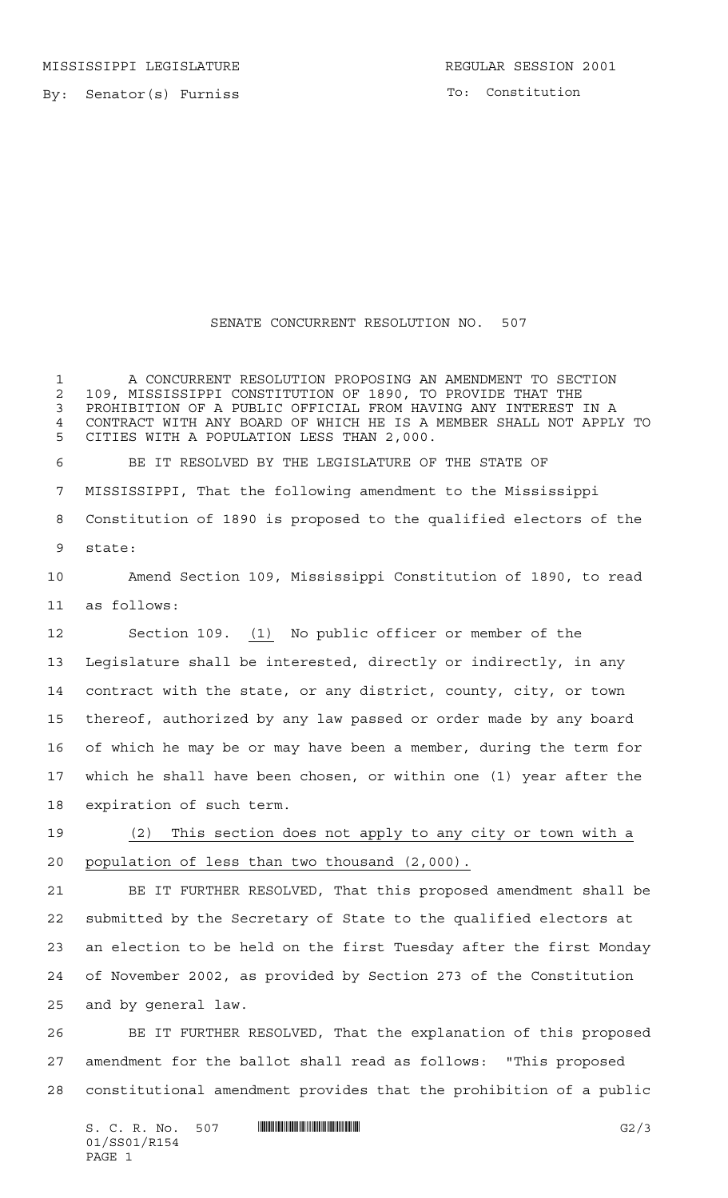MISSISSIPPI LEGISLATURE **REGULAR SESSION 2001** 

By: Senator(s) Furniss

To: Constitution

## SENATE CONCURRENT RESOLUTION NO. 507

 A CONCURRENT RESOLUTION PROPOSING AN AMENDMENT TO SECTION 109, MISSISSIPPI CONSTITUTION OF 1890, TO PROVIDE THAT THE PROHIBITION OF A PUBLIC OFFICIAL FROM HAVING ANY INTEREST IN A CONTRACT WITH ANY BOARD OF WHICH HE IS A MEMBER SHALL NOT APPLY TO CITIES WITH A POPULATION LESS THAN 2,000. BE IT RESOLVED BY THE LEGISLATURE OF THE STATE OF MISSISSIPPI, That the following amendment to the Mississippi Constitution of 1890 is proposed to the qualified electors of the state: Amend Section 109, Mississippi Constitution of 1890, to read as follows: Section 109. (1) No public officer or member of the Legislature shall be interested, directly or indirectly, in any contract with the state, or any district, county, city, or town thereof, authorized by any law passed or order made by any board of which he may be or may have been a member, during the term for which he shall have been chosen, or within one (1) year after the expiration of such term.

 (2) This section does not apply to any city or town with a population of less than two thousand (2,000).

 BE IT FURTHER RESOLVED, That this proposed amendment shall be submitted by the Secretary of State to the qualified electors at an election to be held on the first Tuesday after the first Monday of November 2002, as provided by Section 273 of the Constitution and by general law.

 BE IT FURTHER RESOLVED, That the explanation of this proposed amendment for the ballot shall read as follows: "This proposed constitutional amendment provides that the prohibition of a public

S. C. R. No. 507 \*SS01/R154\* G2/3 01/SS01/R154 PAGE 1